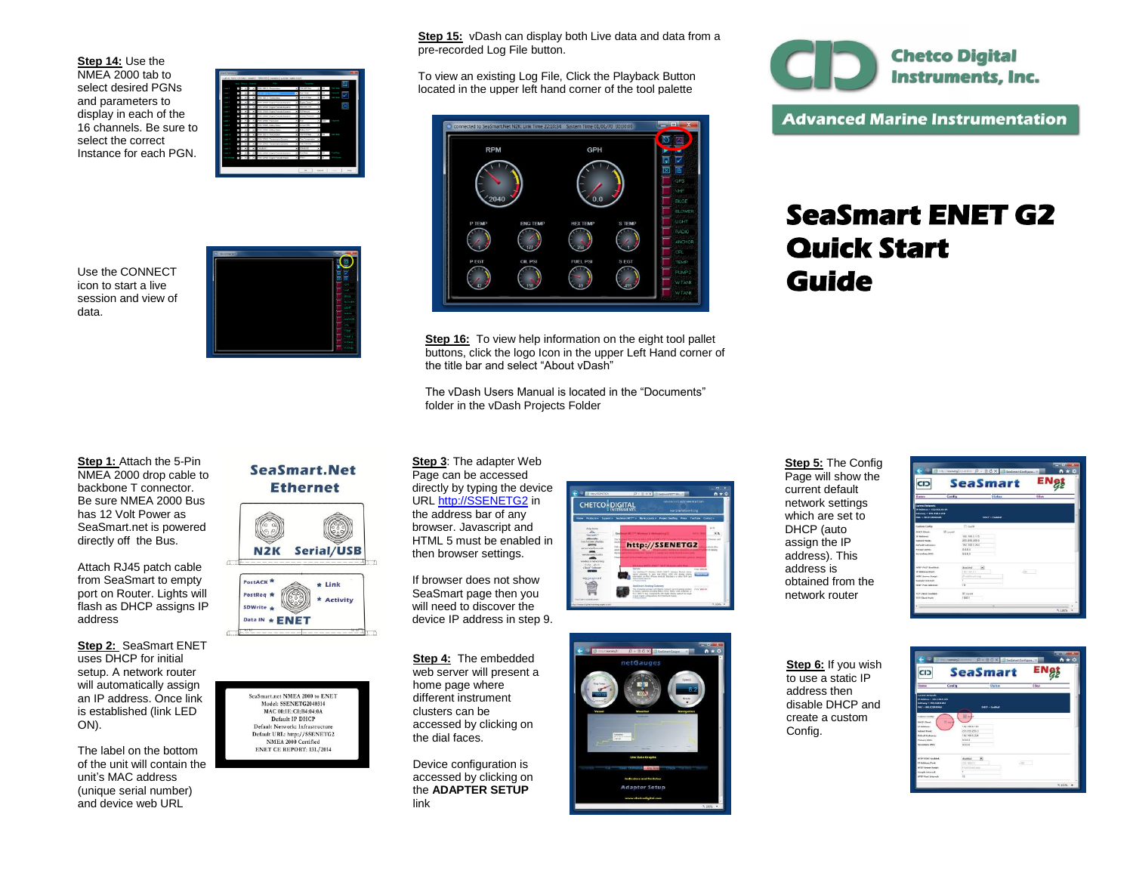**Step 14:** Use the NMEA 2000 tab to select desired PGNs and parameters to display in each of the 16 channels. Be sure to select the correct Instance for each PGN.



Use the CONNECT icon to start a live session and view of data.



**Step 1: Attach the 5-Pin** NMEA 2000 drop cable to backbone T connector. Be sure NMEA 2000 Bus has 12 Volt Power as SeaSmart.net is powered directly off the Bus.

Attach RJ45 patch cable from SeaSmart to empty port on Router. Lights will flash as DHCP assigns IP address

**Step 2:** SeaSmart ENET uses DHCP for initial setup. A network router will automatically assign an IP address. Once link is established (link LED ON).

The label on the bottom of the unit will contain the unit's MAC address (unique serial number) and device web URL

### SeaSmart.Net **Ethernet**



PostACK<sup>\*</sup>  $\star$  Link PostRea \* \* Activity spwrite. Data IN \* ENET

SeaSmart.net NMEA 2000 to ENET Model: SSENETG2040314 MAC 00-1E-C0-B4-04-0A Default IP DHCP Default Network: Infrastructure Default URL: http://SSENETG2 NMEA 2000 Certified **ENET CE REPORT: 13L/2014** 

**Step 15:** vDash can display both Live data and data from a pre-recorded Log File button.

To view an existing Log File, Click the Playback Button located in the upper left hand corner of the tool palette



**Step 16:** To view help information on the eight tool pallet buttons, click the logo Icon in the upper Left Hand corner of the title bar and select "About vDash"

The vDash Users Manual is located in the "Documents" folder in the vDash Projects Folder

#### **Step 3**: The adapter Web Page can be accessed

directly by typing the device UR[L http://SSENETG2](http://ssenetg2/) in the address bar of any browser. Javascript and HTML 5 must be enabled in then browser settings.

If browser does not show SeaSmart page then you will need to discover the device IP address in step 9.

**Step 4:** The embedded web server will present a home page where different instrument clusters can be accessed by clicking on the dial faces.

Device configuration is accessed by clicking on the **ADAPTER SETUP** link



Adapter Setup



**Step 5:** The Config Page will show the

**CI ENgt SeaSmart Conference Status** 

**Step 6:** If you wish to use a static IP address then disable DHCP and create a custom Config.





**Advanced Marine Instrumentation** 

# **SeaSmart ENET G2 Quick Start Guide**